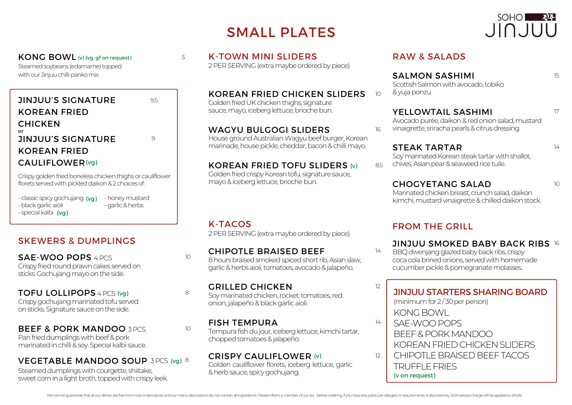# SMALL PLATES



15

17

14

 $10$ 

Steamed soybeans (edamame) topped with our Jinjuu chilli panko mix.

### JINJUU'S SIGNATURE KOREAN FRIED **CHICKEN** JINJUU'S SIGNATURE KOREAN FRIED CAULIFLOWER (vg) or

Crispy golden fried boneless chicken thighs or cauliflower florets served with pickled daikon & 2 choices of

- classic spicy gochujang (vg) - black garlic aioli

- special kalbi (vg)

-honeymustard - garlic & herbs

# SKEWERS & DUMPLINGS

SAE-WOO POPS 4 PCS Crispy fried round prawn cakes served on sticks. Gochujang mayo on the side.

#### TOFU LOLLIPOPS 4 PCS (vg) Crispy gochujang marinated tofu served onsticks.Signaturesauceontheside.

#### BEEF & PORK MANDOO 3PCS Pan fried dumplings with beef & pork

marinated in chilli & soy. Special kalbi sauce.

# VEGETABLE MANDOO SOUP 3PCS (vg) 8

Steamed dumplings with courgette, shiitake, sweet corn in a light broth, topped with crispy leek.

KONG BOWL (v) (vg, gf on request)  $\begin{array}{ccc} 5 & \text{K-TOWN} \text{ MINI SLIDERS} \end{array}$  RAW & SALADS 2 PER SERVING (extra maybe ordered by piece)

> KOREAN FRIED CHICKEN SLIDERS Golden fried UK chicken thighs, signature sauce, mayo, iceberg lettuce, brioche bun.

#### WAGYU BULGOGI SLIDERS

House ground Australian Wagyu beef burger, Korean marinade, house pickle, cheddar, bacon & chilli mayo.

### KOREAN FRIED TOFU SLIDERS (v)

Golden fried crispy Korean tofu, signature sauce, mayo & iceberg lettuce, brioche bun.

# K-TACOS

 $10<sup>1</sup>$ 

5

9.5

 $\circ$ 

8

10

2 PER SERVING (extra maybe ordered by piece)

#### CHIPOTLE BRAISED BEEF

8 hours braised smoked spiced short rib. Asian slaw, garlic&herbsaioli,tomatoes,avocado&jalapeño.

# GRILLED CHICKEN

Soy marinated chicken, rocket, tomatoes, red onion, jalapeño&blackgarlicaioli.

#### FISH TEMPURA

Tempura fish du jour, iceberg lettuce, kimchi tartar, chopped tomatoes & jalapeño.

CRISPY CAULIFLOWER (v) Golden cauliflower florets, iceberg lettuce, garlic &herbsauce, spicygochujang.

 $10$ 

16

85

12

14

12

#### SALMON SASHIMI

Scottish Salmon with avocado, tobiko & yuja ponzu.

#### YELLOWTAIL SASHIMI

Avocado purée, daikon & red onion salad, mustard vinaigrette, sriracha pearls & citrus dressing.

# STEAK TARTAR

Soy marinated Korean steak tartar with shallot, chives. Asian pear & seaweed rice tuile.

### CHOGYETANG SALAD

Marinated chicken breast, crunch salad, daikon kimchi, mustard vinaigrette & chilled daikon stock.

# FROM THE GRILL

- **JINJUU SMOKED BABY BACK RIBS 16** BBQ dwenjang glazed baby back ribs, crispy
- 14 coca cola brined onions, served with homemade cucumber pickle & pomegranate molasses.

JINJUU STARTERS SHARING BOARD  $(minimum for 2/30 per person)$ KONG BOWL SAE-WOO POPS BEEF&PORKMANDOO KOREANFRIEDCHICKENSLIDERS CHIPOTLE BRAISED BEEF TACOS TRUFFLEFRIES

(v on request)

We cannot quarantee that all our dishes are free from nuts or derivatives and our menu descriptions do not contain all ingredients. Please inform a member of our sta before ordering, if you have any particular allergies or